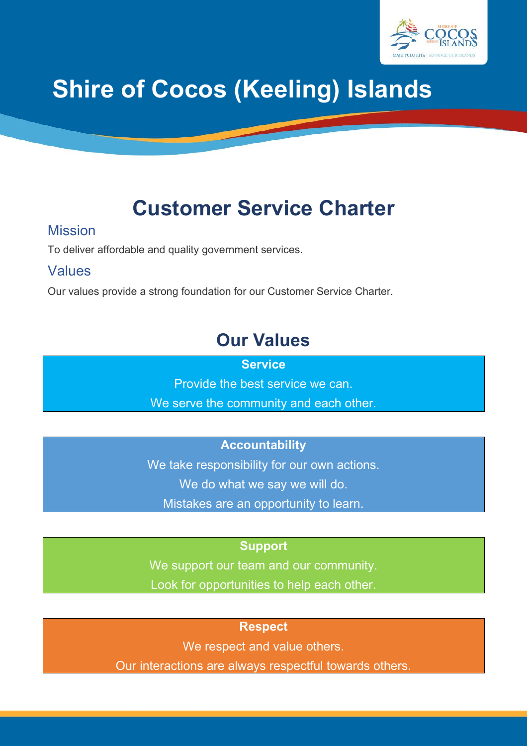

# **Shire of Cocos (Keeling) Islands**

## **Customer Service Charter**

#### Mission

To deliver affordable and quality government services.

#### Values

Our values provide a strong foundation for our Customer Service Charter.

## **Our Values**

**Service**

Provide the best service we can.

We serve the community and each other.

### **Accountability**

We take responsibility for our own actions. We do what we say we will do. Mistakes are an opportunity to learn.

#### **Support**

We support our team and our community.

Look for opportunities to help each other.

#### **Respect**

We respect and value others.

Our interactions are always respectful towards others.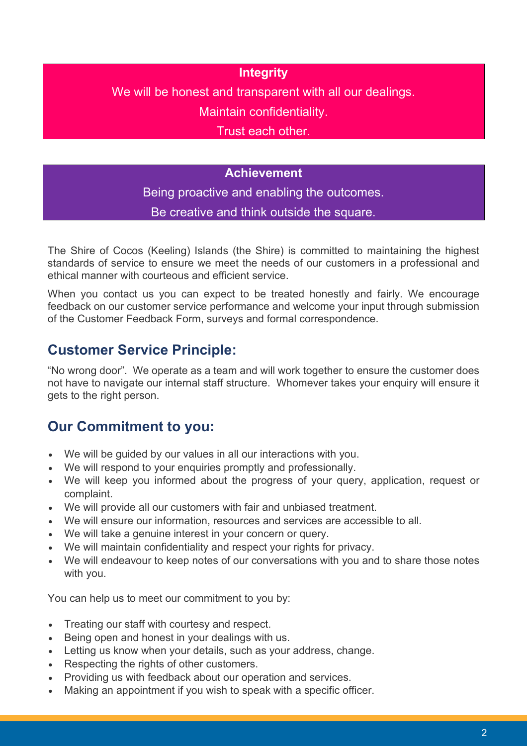#### **Integrity**

We will be honest and transparent with all our dealings.

Maintain confidentiality.

Trust each other.

#### **Achievement**

Being proactive and enabling the outcomes. Be creative and think outside the square.

The Shire of Cocos (Keeling) Islands (the Shire) is committed to maintaining the highest standards of service to ensure we meet the needs of our customers in a professional and ethical manner with courteous and efficient service.

When you contact us you can expect to be treated honestly and fairly. We encourage feedback on our customer service performance and welcome your input through submission of the [Customer Feedback Form,](http://www.broome.wa.gov.au/files/sharedassets/public/customer-feedback-form.pdf) surveys and formal correspondence.

## **Customer Service Principle:**

"No wrong door". We operate as a team and will work together to ensure the customer does not have to navigate our internal staff structure. Whomever takes your enquiry will ensure it gets to the right person.

## **Our Commitment to you:**

- We will be guided by our values in all our interactions with you.
- We will respond to your enquiries promptly and professionally.
- We will keep you informed about the progress of your query, application, request or complaint.
- We will provide all our customers with fair and unbiased treatment.
- We will ensure our information, resources and services are accessible to all.
- We will take a genuine interest in your concern or query.
- We will maintain confidentiality and respect your rights for privacy.
- We will endeavour to keep notes of our conversations with you and to share those notes with you.

You can help us to meet our commitment to you by:

- Treating our staff with courtesy and respect.
- Being open and honest in your dealings with us.
- Letting us know when your details, such as your address, change.
- Respecting the rights of other customers.
- Providing us with feedback about our operation and services.
- Making an appointment if you wish to speak with a specific officer.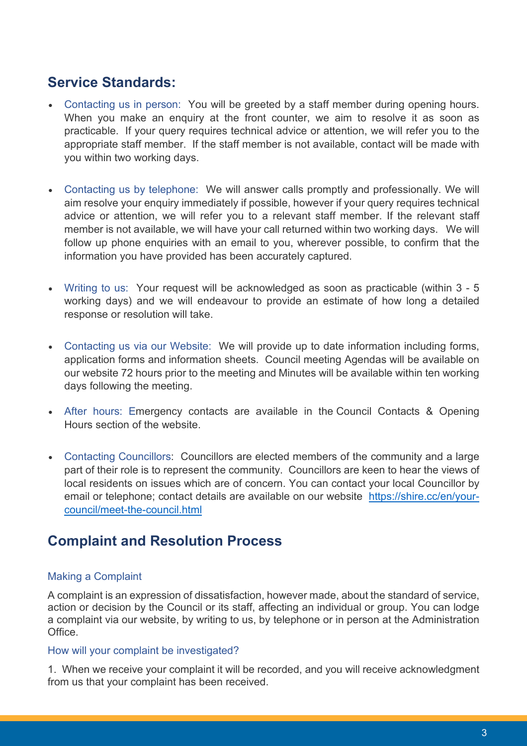## **Service Standards:**

- Contacting us in person: You will be greeted by a staff member during opening hours. When you make an enquiry at the front counter, we aim to resolve it as soon as practicable. If your query requires technical advice or attention, we will refer you to the appropriate staff member. If the staff member is not available, contact will be made with you within two working days.
- Contacting us by telephone: We will answer calls promptly and professionally. We will aim resolve your enquiry immediately if possible, however if your query requires technical advice or attention, we will refer you to a relevant staff member. If the relevant staff member is not available, we will have your call returned within two working days. We will follow up phone enquiries with an email to you, wherever possible, to confirm that the information you have provided has been accurately captured.
- Writing to us: Your request will be acknowledged as soon as practicable (within 3 5 working days) and we will endeavour to provide an estimate of how long a detailed response or resolution will take.
- Contacting us via our Website: We will provide up to date information including forms, application forms and information sheets. Council meeting Agendas will be available on our website 72 hours prior to the meeting and Minutes will be available within ten working days following the meeting.
- After hours: Emergency contacts are available in the Council Contacts & Opening Hours section of the website.
- Contacting Councillors: Councillors are elected members of the community and a large part of their role is to represent the community. Councillors are keen to hear the views of local residents on issues which are of concern. You can contact your local Councillor by email or telephone; contact details are available on our website [https://shire.cc/en/your](https://shire.cc/en/your-council/meet-the-council.html)[council/meet-the-council.html](https://shire.cc/en/your-council/meet-the-council.html)

## **Complaint and Resolution Process**

#### Making a Complaint

A complaint is an expression of dissatisfaction, however made, about the standard of service, action or decision by the Council or its staff, affecting an individual or group. You can lodge a complaint via our website, by writing to us, by telephone or in person at the Administration Office.

#### How will your complaint be investigated?

1. When we receive your complaint it will be recorded, and you will receive acknowledgment from us that your complaint has been received.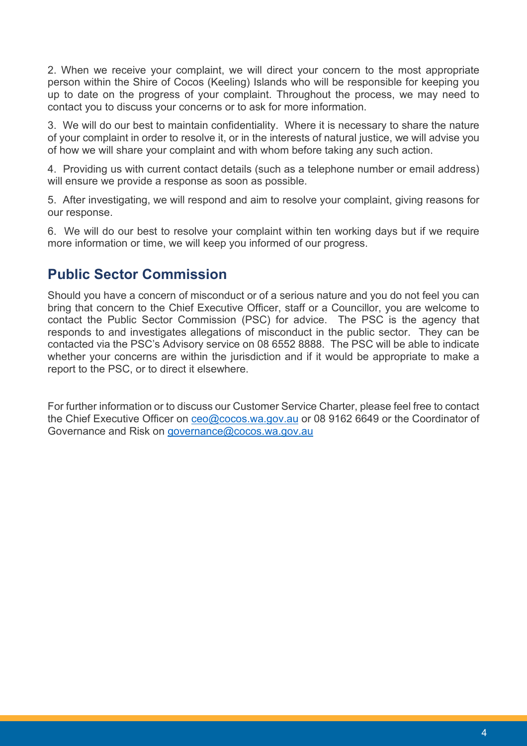2. When we receive your complaint, we will direct your concern to the most appropriate person within the Shire of Cocos (Keeling) Islands who will be responsible for keeping you up to date on the progress of your complaint. Throughout the process, we may need to contact you to discuss your concerns or to ask for more information.

3. We will do our best to maintain confidentiality. Where it is necessary to share the nature of your complaint in order to resolve it, or in the interests of natural justice, we will advise you of how we will share your complaint and with whom before taking any such action.

4. Providing us with current contact details (such as a telephone number or email address) will ensure we provide a response as soon as possible.

5. After investigating, we will respond and aim to resolve your complaint, giving reasons for our response.

6. We will do our best to resolve your complaint within ten working days but if we require more information or time, we will keep you informed of our progress.

## **Public Sector Commission**

Should you have a concern of misconduct or of a serious nature and you do not feel you can bring that concern to the Chief Executive Officer, staff or a Councillor, you are welcome to contact the Public Sector Commission (PSC) for advice. The PSC is the agency that responds to and investigates allegations of misconduct in the public sector. They can be contacted via the PSC's Advisory service on 08 6552 8888. The PSC will be able to indicate whether your concerns are within the jurisdiction and if it would be appropriate to make a report to the PSC, or to direct it elsewhere.

For further information or to discuss our Customer Service Charter, please feel free to contact the Chief Executive Officer on [ceo@cocos.wa.gov.au](mailto:ceo@cocos.wa.gov.au) or 08 9162 6649 or the Coordinator of Governance and Risk on [governance@cocos.wa.gov.au](mailto:governance@cocos.wa.gov.au)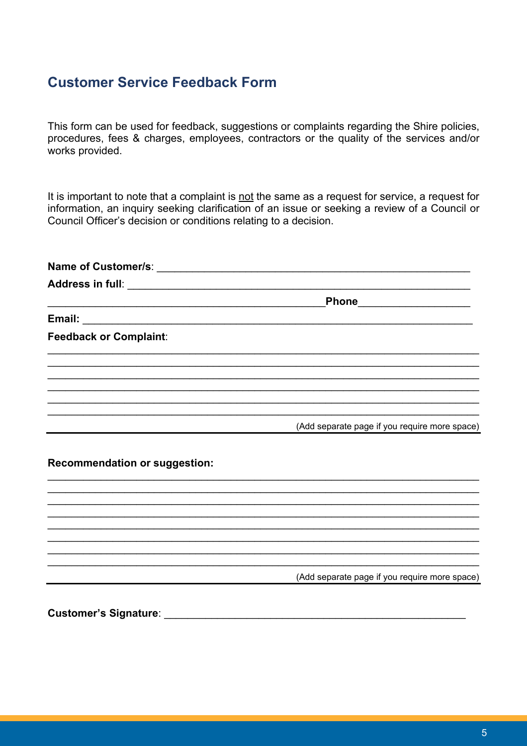### **Customer Service Feedback Form**

This form can be used for feedback, suggestions or complaints regarding the Shire policies, procedures, fees & charges, employees, contractors or the quality of the services and/or works provided.

It is important to note that a complaint is not the same as a request for service, a request for information, an inquiry seeking clarification of an issue or seeking a review of a Council or Council Officer's decision or conditions relating to a decision.

|                                      | Phone____________________                     |
|--------------------------------------|-----------------------------------------------|
|                                      |                                               |
| <b>Feedback or Complaint:</b>        |                                               |
|                                      |                                               |
|                                      |                                               |
|                                      | (Add separate page if you require more space) |
| <b>Recommendation or suggestion:</b> |                                               |
|                                      |                                               |
|                                      |                                               |
|                                      |                                               |
|                                      | (Add separate page if you require more space) |
| <b>Customer's Signature:</b>         |                                               |